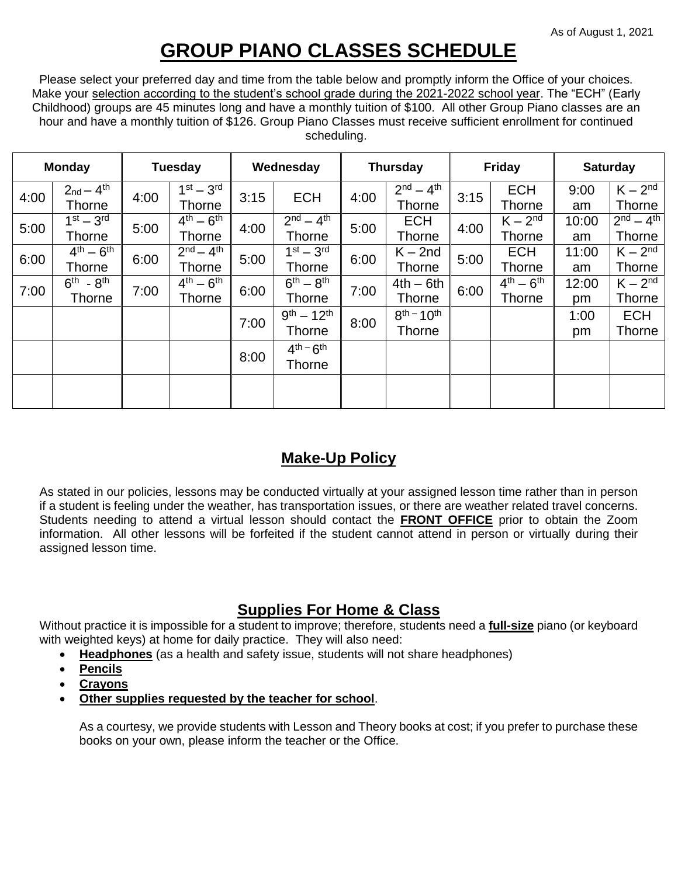## **GROUP PIANO CLASSES SCHEDULE**

Please select your preferred day and time from the table below and promptly inform the Office of your choices. Make your selection according to the student's school grade during the 2021-2022 school year. The "ECH" (Early Childhood) groups are 45 minutes long and have a monthly tuition of \$100. All other Group Piano classes are an hour and have a monthly tuition of \$126. Group Piano Classes must receive sufficient enrollment for continued scheduling.

| <b>Monday</b> |                                      | <b>Tuesday</b> |                                 | Wednesday |                    | <b>Thursday</b> |                              | <b>Friday</b> |                                 | <b>Saturday</b> |                            |
|---------------|--------------------------------------|----------------|---------------------------------|-----------|--------------------|-----------------|------------------------------|---------------|---------------------------------|-----------------|----------------------------|
| 4:00          | $2_{nd} - 4$ <sup>th</sup><br>Thorne | 4:00           | $1st - 3rd$<br>Thorne           | 3:15      | <b>ECH</b>         | 4:00            | $2nd - 4th$<br><b>Thorne</b> | 3:15          | <b>ECH</b><br><b>Thorne</b>     | 9:00<br>am      | $K - 2nd$<br><b>Thorne</b> |
| 5:00          | $1st - 3rd$                          | 5:00           | $4^{\text{th}} - 6^{\text{th}}$ | 4:00      | $2nd - 4th$        | 5:00            | <b>ECH</b>                   | 4:00          | $K - 2nd$                       | 10:00           | $2^{nd} - 4^{th}$          |
|               | Thorne                               |                | Thorne                          |           | Thorne             |                 | Thorne                       |               | <b>Thorne</b>                   | am              | Thorne                     |
| 6:00          | $4^{th} - 6^{th}$                    | 6:00           | $2^{nd} - 4^{th}$               | 5:00      | $1st - 3rd$        | 6:00            | $K - 2nd$                    | 5:00          | <b>ECH</b>                      | 11:00           | $K - 2nd$                  |
|               | <b>Thorne</b>                        |                | Thorne                          |           | <b>Thorne</b>      |                 | <b>Thorne</b>                |               | <b>Thorne</b>                   | am              | Thorne                     |
| 7:00          | $6th - 8th$                          |                | $4^{\text{th}} - 6^{\text{th}}$ |           | $6th - 8th$        | 7:00            | $4th - 6th$                  | 6:00          | $4^{\text{th}} - 6^{\text{th}}$ | 12:00           | $K - 2nd$                  |
|               | Thorne                               | 7:00           | Thorne                          | 6:00      | Thorne             |                 | <b>Thorne</b>                |               | <b>Thorne</b>                   | pm              | <b>Thorne</b>              |
|               |                                      |                |                                 |           | $9^{th} - 12^{th}$ |                 | $8^{th} - 10^{th}$           |               |                                 | 1:00            | <b>ECH</b>                 |
|               |                                      |                |                                 | 7:00      | Thorne             | 8:00            | <b>Thorne</b>                |               |                                 | pm              | <b>Thorne</b>              |
|               |                                      |                |                                 | 8:00      | $4th - 6th$        |                 |                              |               |                                 |                 |                            |
|               |                                      |                |                                 |           | <b>Thorne</b>      |                 |                              |               |                                 |                 |                            |
|               |                                      |                |                                 |           |                    |                 |                              |               |                                 |                 |                            |
|               |                                      |                |                                 |           |                    |                 |                              |               |                                 |                 |                            |

## **Make-Up Policy**

As stated in our policies, lessons may be conducted virtually at your assigned lesson time rather than in person if a student is feeling under the weather, has transportation issues, or there are weather related travel concerns. Students needing to attend a virtual lesson should contact the **FRONT OFFICE** prior to obtain the Zoom information. All other lessons will be forfeited if the student cannot attend in person or virtually during their assigned lesson time.

## **Supplies For Home & Class**

Without practice it is impossible for a student to improve; therefore, students need a **full-size** piano (or keyboard with weighted keys) at home for daily practice. They will also need:

- **Headphones** (as a health and safety issue, students will not share headphones)
- **Pencils**
- **Crayons**
- **Other supplies requested by the teacher for school**.

As a courtesy, we provide students with Lesson and Theory books at cost; if you prefer to purchase these books on your own, please inform the teacher or the Office.